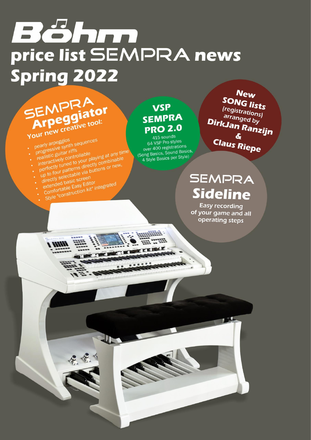# Böhm price list SEMPRA news Spring 2022

# SEMPRA Arpeggiator

- progressive synth sequences · pearly arpeggios
- 
- realistic guitar riffs Interactively concloned to your playing at any time . interactively controllable up to four patterns directly combinable
- de conour partents du constantinente
- 
- 
- 
- extended basic screen Comfortable Easy Editor Style "construction kit" integrated
- 
- 

**ARTIST** 

# **VSP SEMPRA PRO 2.0**

415 sounds 64 VSP Pro styles over 400 registrations (Song Basics, Sound Basics, 4 Style Basics per Style)

**New SONG lists** *(registrations)* arranged by DirkJan Ranzijn  $\boldsymbol{\delta}$ **Claus Riepe** 

# SEMPRA **Sideline**

**Easy recording** of your game and all operating steps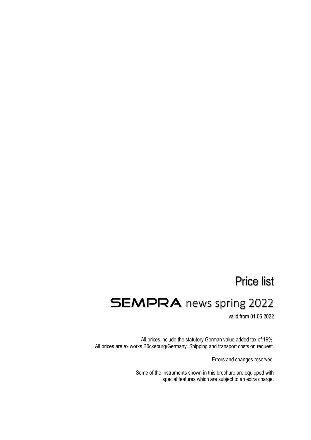# Price list

# **SEMPRA** news spring 2022

valid from 01.06.2022

All prices include the statutory German value added tax of 19%. All prices are ex works Bückeburg/Germany. Shipping and transport costs on request.

Errors and changes reserved.

Some of the instruments shown in this brochure are equipped with special features which are subject to an extra charge.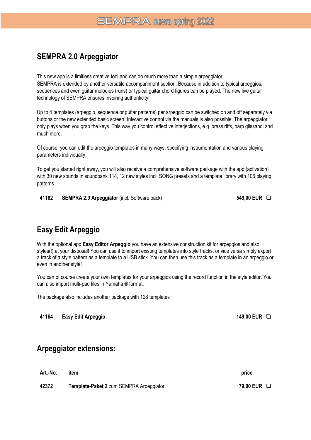### **SEMPRA 2.0 Arpeggiator**

This new app is a limitless creative tool and can do much more than a simple arpeggiator. SEMPRA is extended by another versatile accompaniment section. Because in addition to typical arpeggios, sequences and even guitar melodies (runs) or typical guitar chord figures can be played. The new live guitar technology of SEMPRA ensures inspiring authenticity!

Up to 4 templates (arpeggio, sequence or guitar patterns) per arpeggio can be switched on and off separately via buttons or the new extended basic screen. Interactive control via the manuals is also possible. The arpeggiator only plays when you grab the keys. This way you control effective interjections, e.g. brass riffs, harp glissandi and much more.

Of course, you can edit the arpeggio templates in many ways, specifying instrumentation and various playing parameters individually.

To get you started right away, you will also receive a comprehensive software package with the app (activation) with 30 new sounds in soundbank 114, 12 new styles incl. SONG presets and a template library with 106 playing patterns.

**41162 SEMPRA 2.0 Arpeggiator** (incl. Software pack) **549,00 EUR** ❑

## **Easy Edit Arpeggio**

With the optional app **Easy Editor Arpeggio** you have an extensive construction kit for arpeggios and also styles(!) at your disposal! You can use it to import existing templates into style tracks, or vice versa simply export a track of a style pattern as a template to a USB stick. You can then use this track as a template in an arpeggio or even in another style!

You can of course create your own templates for your arpeggios using the record function in the style editor. You can also import multi-pad files in Yamaha ® format.

The package also includes another package with 128 templates

#### **41164 Easy Edit Arpeggio: 149,00 EUR** ❑

### **Arpeggiator extensions:**

**Art.-No. item price 42372 Template-Paket 2** zum SEMPRA Arpeggiator **79,00 EUR** ❑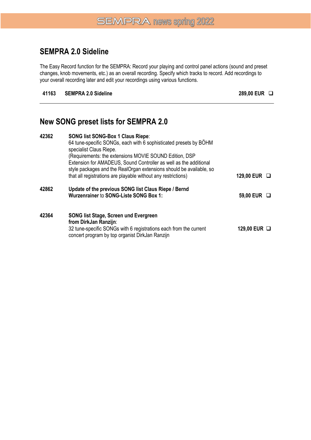### **SEMPRA 2.0 Sideline**

The Easy Record function for the SEMPRA: Record your playing and control panel actions (sound and preset changes, knob movements, etc.) as an overall recording. Specify which tracks to record. Add recordings to your overall recording later and edit your recordings using various functions.

#### **41163 SEMPRA 2.0 Sideline 289,00 EUR** ❑

### **New SONG preset lists for SEMPRA 2.0**

| 42362 | <b>SONG list SONG-Box 1 Claus Riepe:</b>                            |                  |
|-------|---------------------------------------------------------------------|------------------|
|       | 64 tune-specific SONGs, each with 6 sophisticated presets by BOHM   |                  |
|       | specialist Claus Riepe.                                             |                  |
|       | (Requirements: the extensions MOVIE SOUND Edition, DSP              |                  |
|       | Extension for AMADEUS, Sound Controller as well as the additional   |                  |
|       | style packages and the RealOrgan extensions should be available, so |                  |
|       | that all registrations are playable without any restrictions)       | 129,00 EUR □     |
| 42862 | Update of the previous SONG list Claus Riepe / Bernd                |                  |
|       | <b>Wurzenrainer to SONG-Liste SONG Box 1:</b>                       | 59,00 EUR $\Box$ |
|       |                                                                     |                  |
| 42364 | <b>SONG list Stage, Screen und Evergreen</b>                        |                  |
|       | from DirkJan Ranzijn:                                               |                  |
|       | 32 tune-specific SONGs with 6 registrations each from the current   | 129,00 EUR □     |
|       | concert program by top organist DirkJan Ranzijn                     |                  |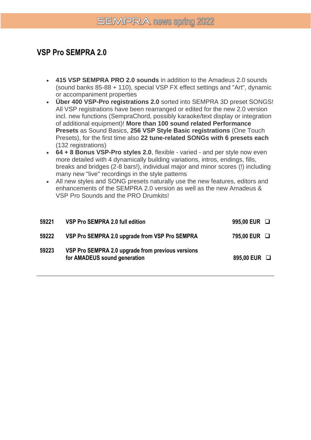## **VSP Pro SEMPRA 2.0**

- **415 VSP SEMPRA PRO 2.0 sounds** in addition to the Amadeus 2.0 sounds (sound banks 85-88 + 110), special VSP FX effect settings and "Art", dynamic or accompaniment properties
- **Über 400 VSP-Pro registrations 2.0** sorted into SEMPRA 3D preset SONGS! All VSP registrations have been rearranged or edited for the new 2.0 version incl. new functions (SempraChord, possibly karaoke/text display or integration of additional equipment)! **More than 100 sound related Performance Presets** as Sound Basics, **256 VSP Style Basic registrations** (One Touch Presets), for the first time also **22 tune-related SONGs with 6 presets each** (132 registrations)
- **64 + 8 Bonus VSP-Pro styles 2.0**, flexible varied and per style now even more detailed with 4 dynamically building variations, intros, endings, fills, breaks and bridges (2-8 bars!), individual major and minor scores (!) including many new "live" recordings in the style patterns
- All new styles and SONG presets naturally use the new features, editors and enhancements of the SEMPRA 2.0 version as well as the new Amadeus & VSP Pro Sounds and the PRO Drumkits!

| 59221 | VSP Pro SEMPRA 2.0 full edition                                                   | 995,00 EUR $\Box$ |  |
|-------|-----------------------------------------------------------------------------------|-------------------|--|
| 59222 | VSP Pro SEMPRA 2.0 upgrade from VSP Pro SEMPRA                                    | 795,00 EUR □      |  |
| 59223 | VSP Pro SEMPRA 2.0 upgrade from previous versions<br>for AMADEUS sound generation | 895,00 EUR □      |  |